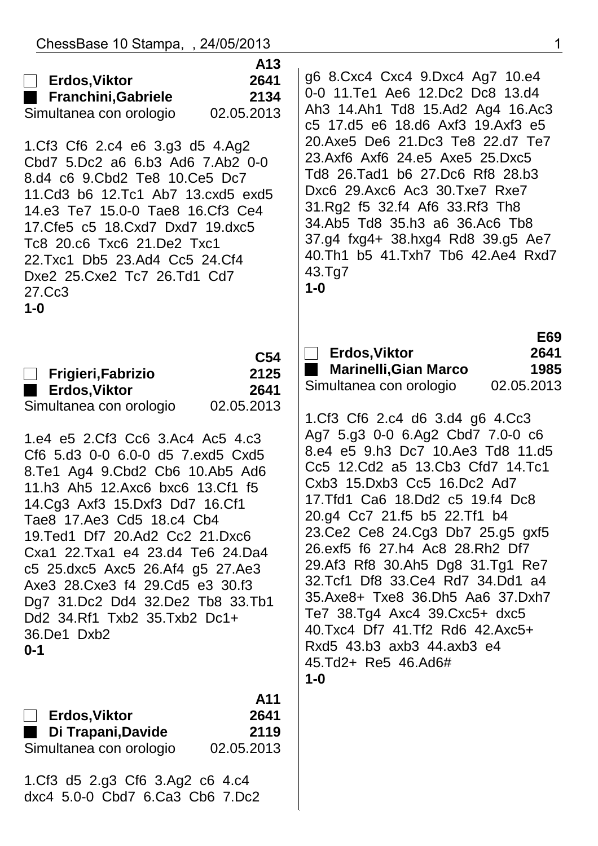| ChessBase 10 Stampa, , 24/05/2013                                                                                                                                                                                                                                                                                                                                                                                                                                                                                                                                                                       | 1                                                                                                                                                                                                                                                                                                                                                                                                                                                                                                                                                                                                                                                                                                    |
|---------------------------------------------------------------------------------------------------------------------------------------------------------------------------------------------------------------------------------------------------------------------------------------------------------------------------------------------------------------------------------------------------------------------------------------------------------------------------------------------------------------------------------------------------------------------------------------------------------|------------------------------------------------------------------------------------------------------------------------------------------------------------------------------------------------------------------------------------------------------------------------------------------------------------------------------------------------------------------------------------------------------------------------------------------------------------------------------------------------------------------------------------------------------------------------------------------------------------------------------------------------------------------------------------------------------|
| A13<br>2641<br><b>Erdos, Viktor</b><br>$\begin{bmatrix} 1 \\ 2 \end{bmatrix}$<br>2134<br><b>Franchini, Gabriele</b><br>Simultanea con orologio<br>02.05.2013<br>1.Cf3 Cf6 2.c4 e6 3.g3 d5 4.Ag2<br>Cbd7 5.Dc2 a6 6.b3 Ad6 7.Ab2 0-0<br>8.d4 c6 9.Cbd2 Te8 10.Ce5 Dc7<br>11. Cd3 b6 12. Tc1 Ab7 13. cxd5 exd5<br>14.e3 Te7 15.0-0 Tae8 16.Cf3 Ce4<br>17. Cfe5 c5 18. Cxd7 Dxd7 19. dxc5<br>Tc8 20.c6 Txc6 21.De2 Txc1<br>22.Txc1 Db5 23.Ad4 Cc5 24.Cf4<br>Dxe2 25. Cxe2 Tc7 26. Td1 Cd7<br>27.Cc3<br>$1-0$                                                                                               | g6 8. Cxc4 Cxc4 9. Dxc4 Ag7 10. e4<br>0-0 11. Te1 Ae6 12. Dc2 Dc8 13. d4<br>Ah3 14.Ah1 Td8 15.Ad2 Ag4 16.Ac3<br>c5 17.d5 e6 18.d6 Axf3 19.Axf3 e5<br>20.Axe5 De6 21.Dc3 Te8 22.d7 Te7<br>23.Axf6 Axf6 24.e5 Axe5 25.Dxc5<br>Td8 26.Tad1 b6 27.Dc6 Rf8 28.b3<br>Dxc6 29.Axc6 Ac3 30.Txe7 Rxe7<br>31.Rg2 f5 32.f4 Af6 33.Rf3 Th8<br>34.Ab5 Td8 35.h3 a6 36.Ac6 Tb8<br>37.g4 fxg4+ 38.hxg4 Rd8 39.g5 Ae7<br>40.Th1 b5 41.Txh7 Tb6 42.Ae4 Rxd7<br>43.Tg7<br>$1-0$                                                                                                                                                                                                                                        |
| C <sub>54</sub><br>2125<br>Frigieri, Fabrizio<br>$\Box$<br><b>Erdos, Viktor</b><br>2641<br>٠<br>Simultanea con orologio<br>02.05.2013<br>1.e4 e5 2.Cf3 Cc6 3.Ac4 Ac5 4.c3<br>Cf6 5.d3 0-0 6.0-0 d5 7.exd5 Cxd5<br>8. Te1 Ag4 9. Cbd2 Cb6 10. Ab5 Ad6<br>11.h3 Ah5 12.Axc6 bxc6 13.Cf1 f5<br>14.Cg3 Axf3 15.Dxf3 Dd7 16.Cf1<br>Tae8 17. Ae3 Cd5 18. c4 Cb4<br>19.Ted1 Df7 20.Ad2 Cc2 21.Dxc6<br>Cxa1 22.Txa1 e4 23.d4 Te6 24.Da4<br>c5 25.dxc5 Axc5 26.Af4 g5 27.Ae3<br>Axe3 28. Cxe3 f4 29. Cd5 e3 30. f3<br>Dg7 31.Dc2 Dd4 32.De2 Tb8 33.Tb1<br>Dd2 34.Rf1 Txb2 35.Txb2 Dc1+<br>36.De1 Dxb2<br>$0 - 1$ | E69<br><b>Erdos, Viktor</b><br>2641<br>1985<br><b>Marinelli, Gian Marco</b><br>02.05.2013<br>Simultanea con orologio<br>1.Cf3 Cf6 2.c4 d6 3.d4 g6 4.Cc3<br>Ag7 5.g3 0-0 6.Ag2 Cbd7 7.0-0 c6<br>8.e4 e5 9.h3 Dc7 10.Ae3 Td8 11.d5<br>Cc5 12.Cd2 a5 13.Cb3 Cfd7 14.Tc1<br>Cxb3 15.Dxb3 Cc5 16.Dc2 Ad7<br>17. Tfd1 Ca6 18. Dd2 c5 19. f4 Dc8<br>20.g4 Cc7 21.f5 b5 22.Tf1 b4<br>23. Ce2 Ce8 24. Cg3 Db7 25. g5 gxf5<br>26.exf5 f6 27.h4 Ac8 28.Rh2 Df7<br>29.Af3 Rf8 30.Ah5 Dg8 31.Tg1 Re7<br>32. Tcf1 Df8 33. Ce4 Rd7 34. Dd1 a4<br>35.Axe8+ Txe8 36.Dh5 Aa6 37.Dxh7<br>Te7 38.Tg4 Axc4 39.Cxc5+ dxc5<br>40.Txc4 Df7 41.Tf2 Rd6 42.Axc5+<br>Rxd5 43.b3 axb3 44.axb3 e4<br>45.Td2+ Re5 46.Ad6#<br>$1-0$ |
| A11<br><b>Erdos, Viktor</b><br>2641<br>2119<br>Di Trapani, Davide<br>02.05.2013<br>Simultanea con orologio                                                                                                                                                                                                                                                                                                                                                                                                                                                                                              |                                                                                                                                                                                                                                                                                                                                                                                                                                                                                                                                                                                                                                                                                                      |
| 1.Cf3 d5 2.g3 Cf6 3.Ag2 c6 4.c4                                                                                                                                                                                                                                                                                                                                                                                                                                                                                                                                                                         |                                                                                                                                                                                                                                                                                                                                                                                                                                                                                                                                                                                                                                                                                                      |

 $\begin{array}{c} \hline \end{array}$ 

dxc4 5.0-0 Cbd7 6.Ca3 Cb6 7.Dc2